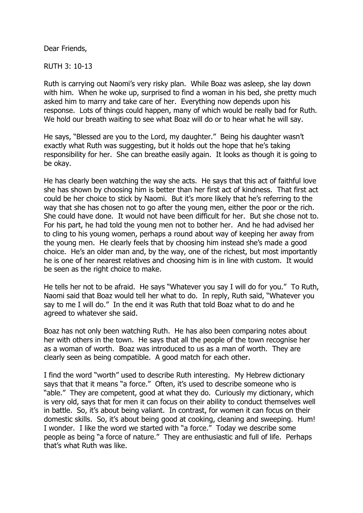Dear Friends,

RUTH 3: 10-13

Ruth is carrying out Naomi's very risky plan. While Boaz was asleep, she lay down with him. When he woke up, surprised to find a woman in his bed, she pretty much asked him to marry and take care of her. Everything now depends upon his response. Lots of things could happen, many of which would be really bad for Ruth. We hold our breath waiting to see what Boaz will do or to hear what he will say.

He says, "Blessed are you to the Lord, my daughter." Being his daughter wasn't exactly what Ruth was suggesting, but it holds out the hope that he's taking responsibility for her. She can breathe easily again. It looks as though it is going to be okay.

He has clearly been watching the way she acts. He says that this act of faithful love she has shown by choosing him is better than her first act of kindness. That first act could be her choice to stick by Naomi. But it's more likely that he's referring to the way that she has chosen not to go after the young men, either the poor or the rich. She could have done. It would not have been difficult for her. But she chose not to. For his part, he had told the young men not to bother her. And he had advised her to cling to his young women, perhaps a round about way of keeping her away from the young men. He clearly feels that by choosing him instead she's made a good choice. He's an older man and, by the way, one of the richest, but most importantly he is one of her nearest relatives and choosing him is in line with custom. It would be seen as the right choice to make.

He tells her not to be afraid. He says "Whatever you say I will do for you." To Ruth, Naomi said that Boaz would tell her what to do. In reply, Ruth said, "Whatever you say to me I will do." In the end it was Ruth that told Boaz what to do and he agreed to whatever she said.

Boaz has not only been watching Ruth. He has also been comparing notes about her with others in the town. He says that all the people of the town recognise her as a woman of worth. Boaz was introduced to us as a man of worth. They are clearly seen as being compatible. A good match for each other.

I find the word "worth" used to describe Ruth interesting. My Hebrew dictionary says that that it means "a force." Often, it's used to describe someone who is "able." They are competent, good at what they do. Curiously my dictionary, which is very old, says that for men it can focus on their ability to conduct themselves well in battle. So, it's about being valiant. In contrast, for women it can focus on their domestic skills. So, it's about being good at cooking, cleaning and sweeping. Hum! I wonder. I like the word we started with "a force." Today we describe some people as being "a force of nature." They are enthusiastic and full of life. Perhaps that's what Ruth was like.